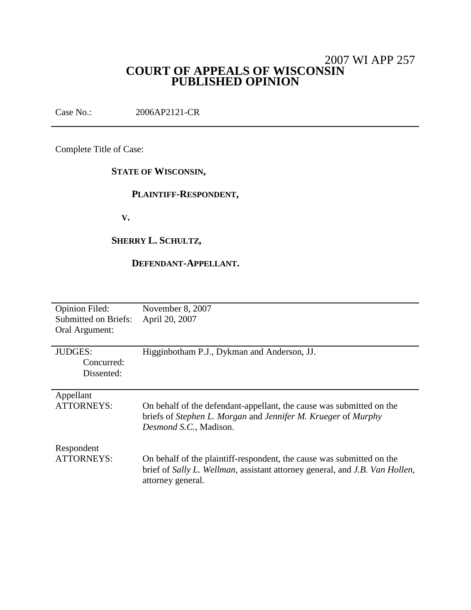## 2007 WI APP 257 **COURT OF APPEALS OF WISCONSIN PUBLISHED OPINION**

Case No.: 2006AP2121-CR

Complete Title of Case:

## **STATE OF WISCONSIN,**

## **PLAINTIFF-RESPONDENT,**

**V.**

## **SHERRY L. SCHULTZ,**

## **DEFENDANT-APPELLANT.**

| <b>Opinion Filed:</b><br><b>Submitted on Briefs:</b><br>Oral Argument: | November 8, 2007<br>April 20, 2007                                                                                                                                        |
|------------------------------------------------------------------------|---------------------------------------------------------------------------------------------------------------------------------------------------------------------------|
| <b>JUDGES:</b><br>Concurred:<br>Dissented:                             | Higginbotham P.J., Dykman and Anderson, JJ.                                                                                                                               |
| Appellant<br><b>ATTORNEYS:</b>                                         | On behalf of the defendant-appellant, the cause was submitted on the<br>briefs of Stephen L. Morgan and Jennifer M. Krueger of Murphy<br>Desmond S.C., Madison.           |
| Respondent<br><b>ATTORNEYS:</b>                                        | On behalf of the plaintiff-respondent, the cause was submitted on the<br>brief of Sally L. Wellman, assistant attorney general, and J.B. Van Hollen,<br>attorney general. |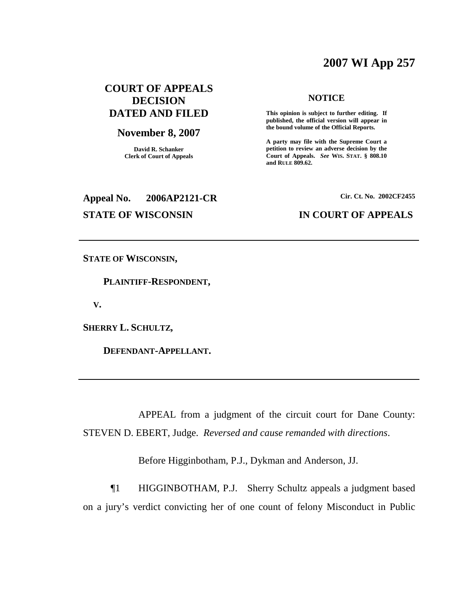# **2007 WI App 257**

## **COURT OF APPEALS DECISION DATED AND FILED**

#### **November 8, 2007**

**David R. Schanker Clerk of Court of Appeals**

## **Appeal No. 2006AP2121-CR Cir. Ct. No. 2002CF2455**

#### **NOTICE**

**This opinion is subject to further editing. If published, the official version will appear in the bound volume of the Official Reports.**

**A party may file with the Supreme Court a petition to review an adverse decision by the Court of Appeals.** *See* **WIS. STAT. § 808.10 and RULE 809.62.**

#### **STATE OF WISCONSIN IN COURT OF APPEALS**

**STATE OF WISCONSIN,**

**PLAINTIFF-RESPONDENT,**

**V.**

**SHERRY L. SCHULTZ,**

**DEFENDANT-APPELLANT.**

APPEAL from a judgment of the circuit court for Dane County: STEVEN D. EBERT, Judge. *Reversed and cause remanded with directions*.

Before Higginbotham, P.J., Dykman and Anderson, JJ.

¶1 HIGGINBOTHAM, P.J. Sherry Schultz appeals a judgment based on a jury's verdict convicting her of one count of felony Misconduct in Public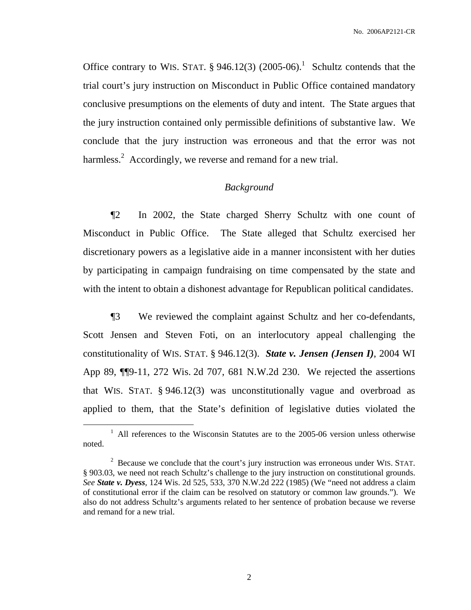Office contrary to WIS. STAT.  $\S 946.12(3)$  (2005-06).<sup>1</sup> Schultz contends that the trial court's jury instruction on Misconduct in Public Office contained mandatory conclusive presumptions on the elements of duty and intent. The State argues that the jury instruction contained only permissible definitions of substantive law. We conclude that the jury instruction was erroneous and that the error was not harmless.<sup>2</sup> Accordingly, we reverse and remand for a new trial.

#### *Background*

¶2 In 2002, the State charged Sherry Schultz with one count of Misconduct in Public Office. The State alleged that Schultz exercised her discretionary powers as a legislative aide in a manner inconsistent with her duties by participating in campaign fundraising on time compensated by the state and with the intent to obtain a dishonest advantage for Republican political candidates.

¶3 We reviewed the complaint against Schultz and her co-defendants, Scott Jensen and Steven Foti, on an interlocutory appeal challenging the constitutionality of WIS. STAT. § 946.12(3). *State v. Jensen (Jensen I)*, 2004 WI App 89, ¶¶9-11, 272 Wis. 2d 707, 681 N.W.2d 230. We rejected the assertions that WIS. STAT. § 946.12(3) was unconstitutionally vague and overbroad as applied to them, that the State's definition of legislative duties violated the

<sup>&</sup>lt;sup>1</sup> All references to the Wisconsin Statutes are to the 2005-06 version unless otherwise noted.

 $2\degree$  Because we conclude that the court's jury instruction was erroneous under WIS. STAT. § 903.03, we need not reach Schultz's challenge to the jury instruction on constitutional grounds. *See State v. Dyess*, 124 Wis. 2d 525, 533, 370 N.W.2d 222 (1985) (We "need not address a claim of constitutional error if the claim can be resolved on statutory or common law grounds."). We also do not address Schultz's arguments related to her sentence of probation because we reverse and remand for a new trial.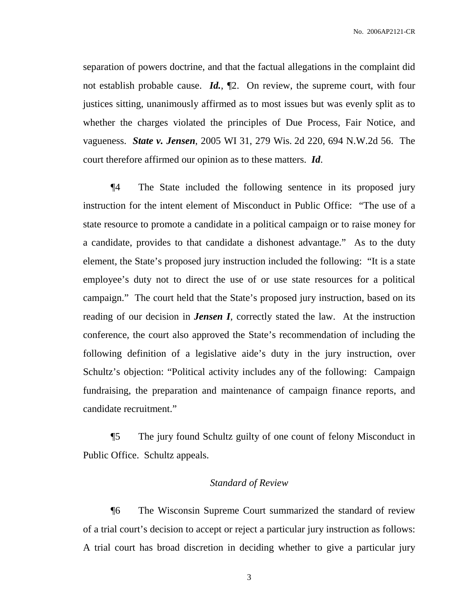separation of powers doctrine, and that the factual allegations in the complaint did not establish probable cause. *Id.*, ¶2. On review, the supreme court, with four justices sitting, unanimously affirmed as to most issues but was evenly split as to whether the charges violated the principles of Due Process, Fair Notice, and vagueness. *State v. Jensen*, 2005 WI 31, 279 Wis. 2d 220, 694 N.W.2d 56. The court therefore affirmed our opinion as to these matters. *Id*.

¶4 The State included the following sentence in its proposed jury instruction for the intent element of Misconduct in Public Office: "The use of a state resource to promote a candidate in a political campaign or to raise money for a candidate, provides to that candidate a dishonest advantage." As to the duty element, the State's proposed jury instruction included the following: "It is a state employee's duty not to direct the use of or use state resources for a political campaign." The court held that the State's proposed jury instruction, based on its reading of our decision in *Jensen I*, correctly stated the law. At the instruction conference, the court also approved the State's recommendation of including the following definition of a legislative aide's duty in the jury instruction, over Schultz's objection: "Political activity includes any of the following: Campaign fundraising, the preparation and maintenance of campaign finance reports, and candidate recruitment."

¶5 The jury found Schultz guilty of one count of felony Misconduct in Public Office. Schultz appeals.

#### *Standard of Review*

¶6 The Wisconsin Supreme Court summarized the standard of review of a trial court's decision to accept or reject a particular jury instruction as follows: A trial court has broad discretion in deciding whether to give a particular jury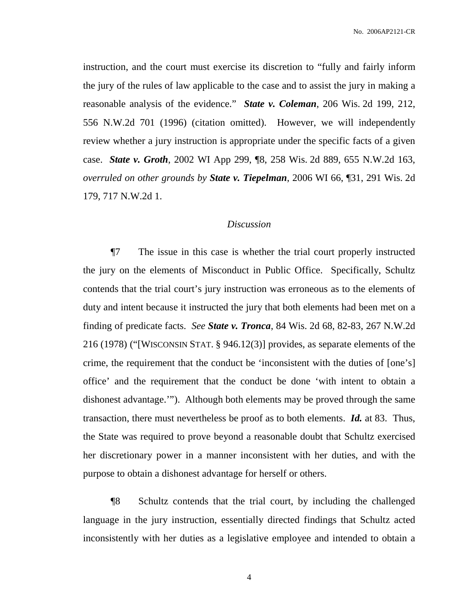instruction, and the court must exercise its discretion to "fully and fairly inform the jury of the rules of law applicable to the case and to assist the jury in making a reasonable analysis of the evidence." *State v. Coleman*, 206 Wis. 2d 199, 212, 556 N.W.2d 701 (1996) (citation omitted). However, we will independently review whether a jury instruction is appropriate under the specific facts of a given case. *State v. Groth*, 2002 WI App 299, ¶8, 258 Wis. 2d 889, 655 N.W.2d 163, *overruled on other grounds by State v. Tiepelman*, 2006 WI 66, ¶31, 291 Wis. 2d 179, 717 N.W.2d 1.

## *Discussion*

¶7 The issue in this case is whether the trial court properly instructed the jury on the elements of Misconduct in Public Office. Specifically, Schultz contends that the trial court's jury instruction was erroneous as to the elements of duty and intent because it instructed the jury that both elements had been met on a finding of predicate facts. *See State v. Tronca*, 84 Wis. 2d 68, 82-83, 267 N.W.2d 216 (1978) ("[WISCONSIN STAT. § 946.12(3)] provides, as separate elements of the crime, the requirement that the conduct be 'inconsistent with the duties of [one's] office' and the requirement that the conduct be done 'with intent to obtain a dishonest advantage.'"). Although both elements may be proved through the same transaction, there must nevertheless be proof as to both elements. *Id.* at 83. Thus, the State was required to prove beyond a reasonable doubt that Schultz exercised her discretionary power in a manner inconsistent with her duties, and with the purpose to obtain a dishonest advantage for herself or others.

¶8 Schultz contends that the trial court, by including the challenged language in the jury instruction, essentially directed findings that Schultz acted inconsistently with her duties as a legislative employee and intended to obtain a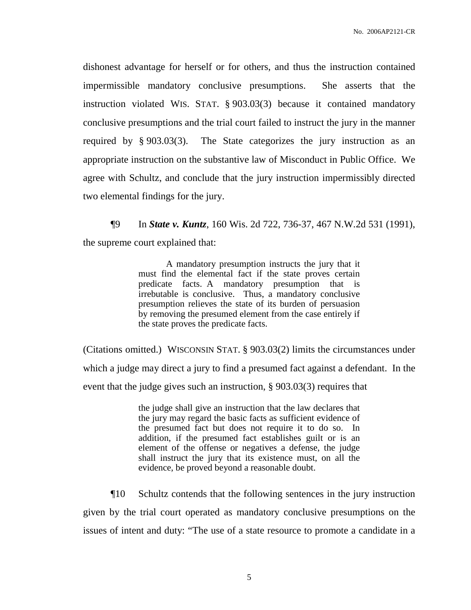dishonest advantage for herself or for others, and thus the instruction contained impermissible mandatory conclusive presumptions. She asserts that the instruction violated WIS. STAT. § 903.03(3) because it contained mandatory conclusive presumptions and the trial court failed to instruct the jury in the manner required by § 903.03(3). The State categorizes the jury instruction as an appropriate instruction on the substantive law of Misconduct in Public Office. We agree with Schultz, and conclude that the jury instruction impermissibly directed two elemental findings for the jury.

¶9 In *State v. Kuntz*, 160 Wis. 2d 722, 736-37, 467 N.W.2d 531 (1991), the supreme court explained that:

> A mandatory presumption instructs the jury that it must find the elemental fact if the state proves certain predicate facts. A mandatory presumption that is irrebutable is conclusive. Thus, a mandatory conclusive presumption relieves the state of its burden of persuasion by removing the presumed element from the case entirely if the state proves the predicate facts.

(Citations omitted.) WISCONSIN STAT. § 903.03(2) limits the circumstances under which a judge may direct a jury to find a presumed fact against a defendant. In the event that the judge gives such an instruction, § 903.03(3) requires that

> the judge shall give an instruction that the law declares that the jury may regard the basic facts as sufficient evidence of the presumed fact but does not require it to do so. In addition, if the presumed fact establishes guilt or is an element of the offense or negatives a defense, the judge shall instruct the jury that its existence must, on all the evidence, be proved beyond a reasonable doubt.

¶10 Schultz contends that the following sentences in the jury instruction given by the trial court operated as mandatory conclusive presumptions on the issues of intent and duty: "The use of a state resource to promote a candidate in a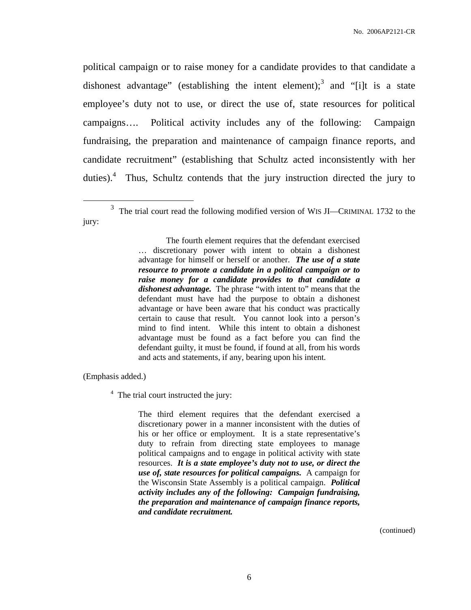political campaign or to raise money for a candidate provides to that candidate a dishonest advantage" (establishing the intent element);<sup>3</sup> and "[i]t is a state employee's duty not to use, or direct the use of, state resources for political campaigns…. Political activity includes any of the following: Campaign fundraising, the preparation and maintenance of campaign finance reports, and candidate recruitment" (establishing that Schultz acted inconsistently with her duties).<sup>4</sup> Thus, Schultz contends that the jury instruction directed the jury to

(Emphasis added.)

<sup>4</sup> The trial court instructed the jury:

The third element requires that the defendant exercised a discretionary power in a manner inconsistent with the duties of his or her office or employment. It is a state representative's duty to refrain from directing state employees to manage political campaigns and to engage in political activity with state resources. *It is a state employee's duty not to use, or direct the use of, state resources for political campaigns.* A campaign for the Wisconsin State Assembly is a political campaign. *Political activity includes any of the following: Campaign fundraising, the preparation and maintenance of campaign finance reports, and candidate recruitment.*

(continued)

 $3$  The trial court read the following modified version of WIS JI—CRIMINAL 1732 to the jury:

The fourth element requires that the defendant exercised … discretionary power with intent to obtain a dishonest advantage for himself or herself or another. *The use of a state resource to promote a candidate in a political campaign or to raise money for a candidate provides to that candidate a dishonest advantage.* The phrase "with intent to" means that the defendant must have had the purpose to obtain a dishonest advantage or have been aware that his conduct was practically certain to cause that result. You cannot look into a person's mind to find intent. While this intent to obtain a dishonest advantage must be found as a fact before you can find the defendant guilty, it must be found, if found at all, from his words and acts and statements, if any, bearing upon his intent.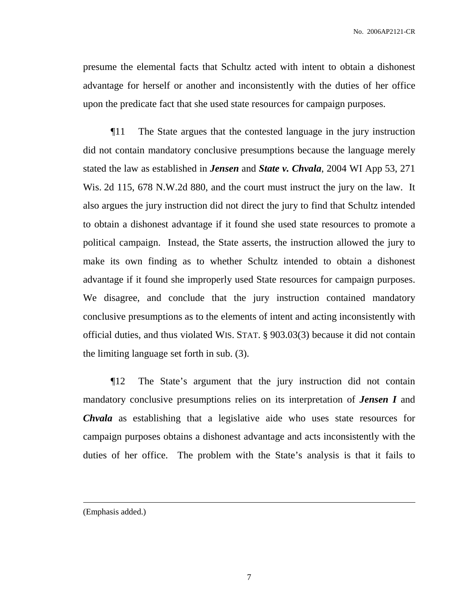presume the elemental facts that Schultz acted with intent to obtain a dishonest advantage for herself or another and inconsistently with the duties of her office upon the predicate fact that she used state resources for campaign purposes.

¶11 The State argues that the contested language in the jury instruction did not contain mandatory conclusive presumptions because the language merely stated the law as established in *Jensen* and *State v. Chvala*, 2004 WI App 53, 271 Wis. 2d 115, 678 N.W.2d 880, and the court must instruct the jury on the law. It also argues the jury instruction did not direct the jury to find that Schultz intended to obtain a dishonest advantage if it found she used state resources to promote a political campaign. Instead, the State asserts, the instruction allowed the jury to make its own finding as to whether Schultz intended to obtain a dishonest advantage if it found she improperly used State resources for campaign purposes. We disagree, and conclude that the jury instruction contained mandatory conclusive presumptions as to the elements of intent and acting inconsistently with official duties, and thus violated WIS. STAT. § 903.03(3) because it did not contain the limiting language set forth in sub. (3).

¶12 The State's argument that the jury instruction did not contain mandatory conclusive presumptions relies on its interpretation of *Jensen I* and *Chvala* as establishing that a legislative aide who uses state resources for campaign purposes obtains a dishonest advantage and acts inconsistently with the duties of her office. The problem with the State's analysis is that it fails to

<sup>(</sup>Emphasis added.)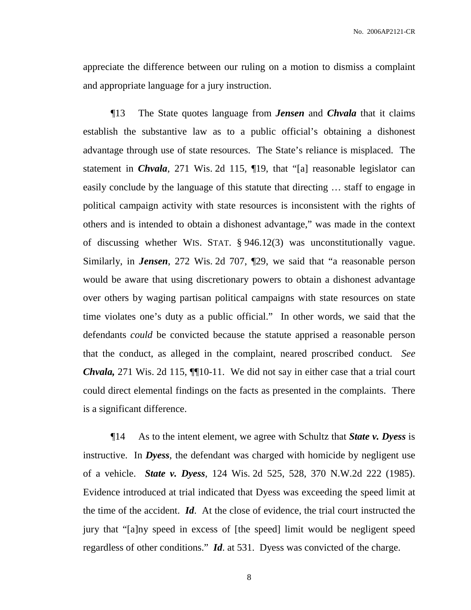appreciate the difference between our ruling on a motion to dismiss a complaint and appropriate language for a jury instruction.

¶13 The State quotes language from *Jensen* and *Chvala* that it claims establish the substantive law as to a public official's obtaining a dishonest advantage through use of state resources. The State's reliance is misplaced. The statement in *Chvala*, 271 Wis. 2d 115, ¶19, that "[a] reasonable legislator can easily conclude by the language of this statute that directing … staff to engage in political campaign activity with state resources is inconsistent with the rights of others and is intended to obtain a dishonest advantage," was made in the context of discussing whether WIS. STAT. § 946.12(3) was unconstitutionally vague. Similarly, in *Jensen*, 272 Wis. 2d 707, ¶29, we said that "a reasonable person would be aware that using discretionary powers to obtain a dishonest advantage over others by waging partisan political campaigns with state resources on state time violates one's duty as a public official." In other words, we said that the defendants *could* be convicted because the statute apprised a reasonable person that the conduct, as alleged in the complaint, neared proscribed conduct. *See Chvala,* 271 Wis. 2d 115, **[10-11.** We did not say in either case that a trial court could direct elemental findings on the facts as presented in the complaints. There is a significant difference.

¶14 As to the intent element, we agree with Schultz that *State v. Dyess* is instructive. In *Dyess*, the defendant was charged with homicide by negligent use of a vehicle. *State v. Dyess*, 124 Wis. 2d 525, 528, 370 N.W.2d 222 (1985). Evidence introduced at trial indicated that Dyess was exceeding the speed limit at the time of the accident. *Id*. At the close of evidence, the trial court instructed the jury that "[a]ny speed in excess of [the speed] limit would be negligent speed regardless of other conditions." *Id*. at 531. Dyess was convicted of the charge.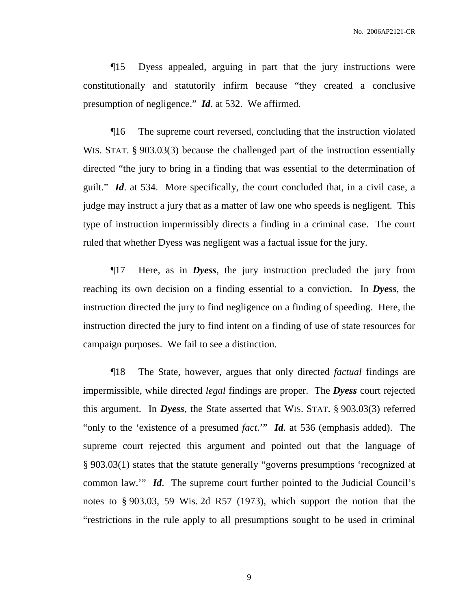¶15 Dyess appealed, arguing in part that the jury instructions were constitutionally and statutorily infirm because "they created a conclusive presumption of negligence." *Id*. at 532. We affirmed.

¶16 The supreme court reversed, concluding that the instruction violated WIS. STAT. § 903.03(3) because the challenged part of the instruction essentially directed "the jury to bring in a finding that was essential to the determination of guilt." *Id*. at 534. More specifically, the court concluded that, in a civil case, a judge may instruct a jury that as a matter of law one who speeds is negligent. This type of instruction impermissibly directs a finding in a criminal case. The court ruled that whether Dyess was negligent was a factual issue for the jury.

¶17 Here, as in *Dyess*, the jury instruction precluded the jury from reaching its own decision on a finding essential to a conviction. In *Dyess*, the instruction directed the jury to find negligence on a finding of speeding. Here, the instruction directed the jury to find intent on a finding of use of state resources for campaign purposes. We fail to see a distinction.

¶18 The State, however, argues that only directed *factual* findings are impermissible, while directed *legal* findings are proper. The *Dyess* court rejected this argument. In *Dyess*, the State asserted that WIS. STAT. § 903.03(3) referred "only to the 'existence of a presumed *fact*.'" *Id*. at 536 (emphasis added). The supreme court rejected this argument and pointed out that the language of § 903.03(1) states that the statute generally "governs presumptions 'recognized at common law.'" *Id*. The supreme court further pointed to the Judicial Council's notes to § 903.03, 59 Wis. 2d R57 (1973), which support the notion that the "restrictions in the rule apply to all presumptions sought to be used in criminal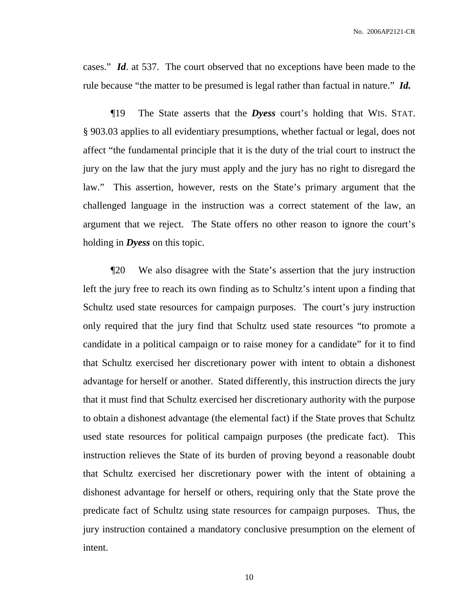cases." *Id*. at 537. The court observed that no exceptions have been made to the rule because "the matter to be presumed is legal rather than factual in nature." *Id.*

¶19 The State asserts that the *Dyess* court's holding that WIS. STAT. § 903.03 applies to all evidentiary presumptions, whether factual or legal, does not affect "the fundamental principle that it is the duty of the trial court to instruct the jury on the law that the jury must apply and the jury has no right to disregard the law." This assertion, however, rests on the State's primary argument that the challenged language in the instruction was a correct statement of the law, an argument that we reject. The State offers no other reason to ignore the court's holding in *Dyess* on this topic.

¶20 We also disagree with the State's assertion that the jury instruction left the jury free to reach its own finding as to Schultz's intent upon a finding that Schultz used state resources for campaign purposes. The court's jury instruction only required that the jury find that Schultz used state resources "to promote a candidate in a political campaign or to raise money for a candidate" for it to find that Schultz exercised her discretionary power with intent to obtain a dishonest advantage for herself or another. Stated differently, this instruction directs the jury that it must find that Schultz exercised her discretionary authority with the purpose to obtain a dishonest advantage (the elemental fact) if the State proves that Schultz used state resources for political campaign purposes (the predicate fact). This instruction relieves the State of its burden of proving beyond a reasonable doubt that Schultz exercised her discretionary power with the intent of obtaining a dishonest advantage for herself or others, requiring only that the State prove the predicate fact of Schultz using state resources for campaign purposes. Thus, the jury instruction contained a mandatory conclusive presumption on the element of intent.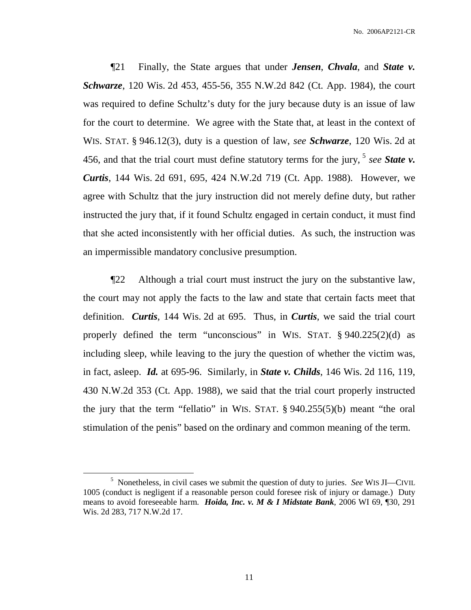¶21 Finally, the State argues that under *Jensen*, *Chvala*, and *State v. Schwarze*, 120 Wis. 2d 453, 455-56, 355 N.W.2d 842 (Ct. App. 1984), the court was required to define Schultz's duty for the jury because duty is an issue of law for the court to determine. We agree with the State that, at least in the context of WIS. STAT. § 946.12(3), duty is a question of law, *see Schwarze*, 120 Wis. 2d at 456, and that the trial court must define statutory terms for the jury, 5 *see State v. Curtis*, 144 Wis. 2d 691, 695, 424 N.W.2d 719 (Ct. App. 1988). However, we agree with Schultz that the jury instruction did not merely define duty, but rather instructed the jury that, if it found Schultz engaged in certain conduct, it must find that she acted inconsistently with her official duties. As such, the instruction was an impermissible mandatory conclusive presumption.

¶22 Although a trial court must instruct the jury on the substantive law, the court may not apply the facts to the law and state that certain facts meet that definition. *Curtis*, 144 Wis. 2d at 695. Thus, in *Curtis*, we said the trial court properly defined the term "unconscious" in WIS. STAT. § 940.225(2)(d) as including sleep, while leaving to the jury the question of whether the victim was, in fact, asleep. *Id.* at 695-96. Similarly, in *State v. Childs*, 146 Wis. 2d 116, 119, 430 N.W.2d 353 (Ct. App. 1988), we said that the trial court properly instructed the jury that the term "fellatio" in WIS. STAT. § 940.255(5)(b) meant "the oral stimulation of the penis" based on the ordinary and common meaning of the term.

<sup>5</sup> Nonetheless, in civil cases we submit the question of duty to juries. *See* WIS JI—CIVIL 1005 (conduct is negligent if a reasonable person could foresee risk of injury or damage.) Duty means to avoid foreseeable harm. *Hoida, Inc. v. M & I Midstate Bank*, 2006 WI 69, ¶30, 291 Wis. 2d 283, 717 N.W.2d 17.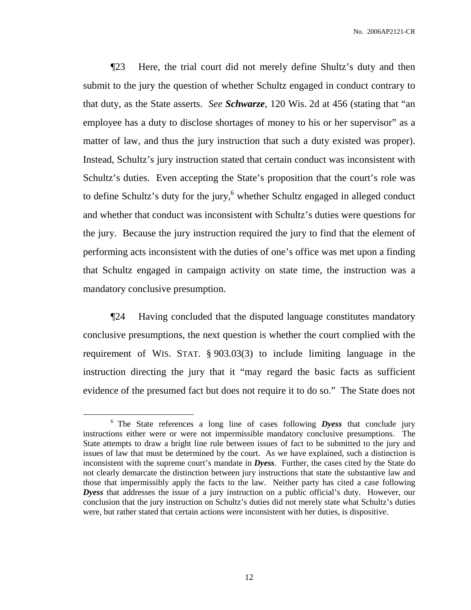¶23 Here, the trial court did not merely define Shultz's duty and then submit to the jury the question of whether Schultz engaged in conduct contrary to that duty, as the State asserts. *See Schwarze*, 120 Wis. 2d at 456 (stating that "an employee has a duty to disclose shortages of money to his or her supervisor" as a matter of law, and thus the jury instruction that such a duty existed was proper). Instead, Schultz's jury instruction stated that certain conduct was inconsistent with Schultz's duties. Even accepting the State's proposition that the court's role was to define Schultz's duty for the jury, <sup>6</sup> whether Schultz engaged in alleged conduct and whether that conduct was inconsistent with Schultz's duties were questions for the jury. Because the jury instruction required the jury to find that the element of performing acts inconsistent with the duties of one's office was met upon a finding that Schultz engaged in campaign activity on state time, the instruction was a mandatory conclusive presumption.

¶24 Having concluded that the disputed language constitutes mandatory conclusive presumptions, the next question is whether the court complied with the requirement of WIS. STAT. § 903.03(3) to include limiting language in the instruction directing the jury that it "may regard the basic facts as sufficient evidence of the presumed fact but does not require it to do so." The State does not

<sup>6</sup> The State references a long line of cases following *Dyess* that conclude jury instructions either were or were not impermissible mandatory conclusive presumptions. The State attempts to draw a bright line rule between issues of fact to be submitted to the jury and issues of law that must be determined by the court. As we have explained, such a distinction is inconsistent with the supreme court's mandate in *Dyess*. Further, the cases cited by the State do not clearly demarcate the distinction between jury instructions that state the substantive law and those that impermissibly apply the facts to the law. Neither party has cited a case following *Dyess* that addresses the issue of a jury instruction on a public official's duty. However, our conclusion that the jury instruction on Schultz's duties did not merely state what Schultz's duties were, but rather stated that certain actions were inconsistent with her duties, is dispositive.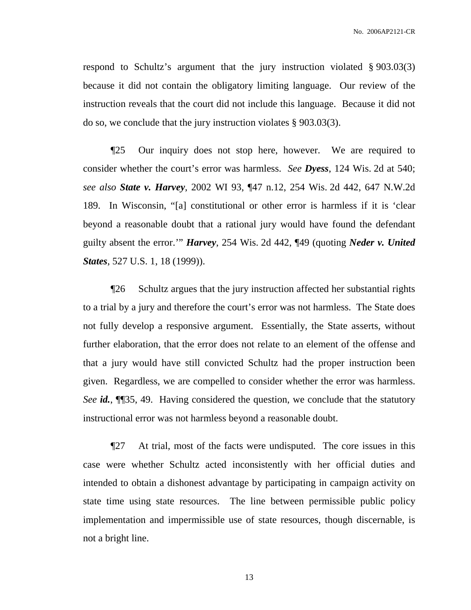respond to Schultz's argument that the jury instruction violated § 903.03(3) because it did not contain the obligatory limiting language. Our review of the instruction reveals that the court did not include this language. Because it did not do so, we conclude that the jury instruction violates § 903.03(3).

¶25 Our inquiry does not stop here, however. We are required to consider whether the court's error was harmless. *See Dyess*, 124 Wis. 2d at 540; *see also State v. Harvey*, 2002 WI 93, ¶47 n.12, 254 Wis. 2d 442, 647 N.W.2d 189. In Wisconsin, "[a] constitutional or other error is harmless if it is 'clear beyond a reasonable doubt that a rational jury would have found the defendant guilty absent the error.'" *Harvey*, 254 Wis. 2d 442, ¶49 (quoting *Neder v. United States*, 527 U.S. 1, 18 (1999)).

¶26 Schultz argues that the jury instruction affected her substantial rights to a trial by a jury and therefore the court's error was not harmless. The State does not fully develop a responsive argument. Essentially, the State asserts, without further elaboration, that the error does not relate to an element of the offense and that a jury would have still convicted Schultz had the proper instruction been given. Regardless, we are compelled to consider whether the error was harmless. *See id.*, ¶¶35, 49. Having considered the question, we conclude that the statutory instructional error was not harmless beyond a reasonable doubt.

¶27 At trial, most of the facts were undisputed. The core issues in this case were whether Schultz acted inconsistently with her official duties and intended to obtain a dishonest advantage by participating in campaign activity on state time using state resources. The line between permissible public policy implementation and impermissible use of state resources, though discernable, is not a bright line.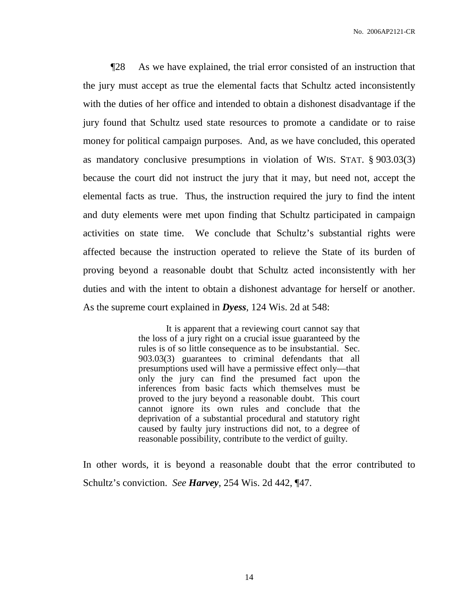¶28 As we have explained, the trial error consisted of an instruction that the jury must accept as true the elemental facts that Schultz acted inconsistently with the duties of her office and intended to obtain a dishonest disadvantage if the jury found that Schultz used state resources to promote a candidate or to raise money for political campaign purposes. And, as we have concluded, this operated as mandatory conclusive presumptions in violation of WIS. STAT. § 903.03(3) because the court did not instruct the jury that it may, but need not, accept the elemental facts as true. Thus, the instruction required the jury to find the intent and duty elements were met upon finding that Schultz participated in campaign activities on state time. We conclude that Schultz's substantial rights were affected because the instruction operated to relieve the State of its burden of proving beyond a reasonable doubt that Schultz acted inconsistently with her duties and with the intent to obtain a dishonest advantage for herself or another. As the supreme court explained in *Dyess*, 124 Wis. 2d at 548:

> It is apparent that a reviewing court cannot say that the loss of a jury right on a crucial issue guaranteed by the rules is of so little consequence as to be insubstantial. Sec. 903.03(3) guarantees to criminal defendants that all presumptions used will have a permissive effect only—that only the jury can find the presumed fact upon the inferences from basic facts which themselves must be proved to the jury beyond a reasonable doubt. This court cannot ignore its own rules and conclude that the deprivation of a substantial procedural and statutory right caused by faulty jury instructions did not, to a degree of reasonable possibility, contribute to the verdict of guilty.

In other words, it is beyond a reasonable doubt that the error contributed to Schultz's conviction. *See Harvey*, 254 Wis. 2d 442, ¶47.